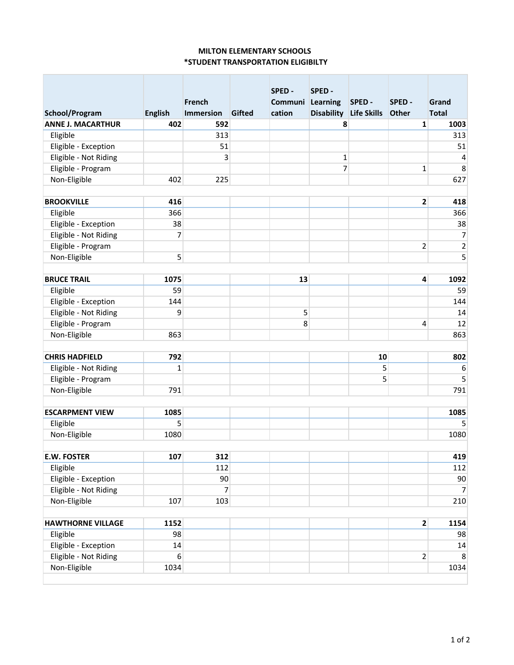## **MILTON ELEMENTARY SCHOOLS \*STUDENT TRANSPORTATION ELIGIBILTY**

|                          |                |                            |        | SPED -                     | SPED -            |                       |                         |                       |
|--------------------------|----------------|----------------------------|--------|----------------------------|-------------------|-----------------------|-------------------------|-----------------------|
| School/Program           | <b>English</b> | French<br><b>Immersion</b> | Gifted | Communi Learning<br>cation | <b>Disability</b> | SPED -<br>Life Skills | SPED -<br>Other         | Grand<br><b>Total</b> |
| <b>ANNE J. MACARTHUR</b> | 402            | 592                        |        |                            | 8                 |                       | 1                       | 1003                  |
| Eligible                 |                | 313                        |        |                            |                   |                       |                         | 313                   |
| Eligible - Exception     |                | 51                         |        |                            |                   |                       |                         | 51                    |
| Eligible - Not Riding    |                | 3                          |        |                            | $\mathbf{1}$      |                       |                         | 4                     |
| Eligible - Program       |                |                            |        |                            | 7                 |                       | $\mathbf{1}$            | 8                     |
| Non-Eligible             | 402            | 225                        |        |                            |                   |                       |                         | 627                   |
|                          |                |                            |        |                            |                   |                       |                         |                       |
| <b>BROOKVILLE</b>        | 416            |                            |        |                            |                   |                       | $\overline{\mathbf{c}}$ | 418                   |
| Eligible                 | 366            |                            |        |                            |                   |                       |                         | 366                   |
| Eligible - Exception     | 38             |                            |        |                            |                   |                       |                         | 38                    |
| Eligible - Not Riding    | 7              |                            |        |                            |                   |                       |                         | 7                     |
| Eligible - Program       |                |                            |        |                            |                   |                       | $\overline{2}$          | $\overline{c}$        |
| Non-Eligible             | 5              |                            |        |                            |                   |                       |                         | 5                     |
|                          |                |                            |        |                            |                   |                       |                         |                       |
| <b>BRUCE TRAIL</b>       | 1075           |                            |        | 13                         |                   |                       | 4                       | 1092                  |
| Eligible                 | 59             |                            |        |                            |                   |                       |                         | 59                    |
| Eligible - Exception     | 144            |                            |        |                            |                   |                       |                         | 144                   |
| Eligible - Not Riding    | 9              |                            |        | 5                          |                   |                       |                         | 14                    |
| Eligible - Program       |                |                            |        | 8                          |                   |                       | 4                       | 12                    |
| Non-Eligible             | 863            |                            |        |                            |                   |                       |                         | 863                   |
|                          |                |                            |        |                            |                   |                       |                         |                       |
| <b>CHRIS HADFIELD</b>    | 792            |                            |        |                            |                   | 10                    |                         | 802                   |
| Eligible - Not Riding    | $\mathbf{1}$   |                            |        |                            |                   | 5                     |                         | 6                     |
| Eligible - Program       |                |                            |        |                            |                   | 5                     |                         | 5                     |
| Non-Eligible             | 791            |                            |        |                            |                   |                       |                         | 791                   |
|                          |                |                            |        |                            |                   |                       |                         |                       |
| <b>ESCARPMENT VIEW</b>   | 1085           |                            |        |                            |                   |                       |                         | 1085                  |
| Eligible                 | 5              |                            |        |                            |                   |                       |                         | 5                     |
| Non-Eligible             | 1080           |                            |        |                            |                   |                       |                         | 1080                  |
|                          |                |                            |        |                            |                   |                       |                         |                       |
| <b>E.W. FOSTER</b>       | 107            | 312                        |        |                            |                   |                       |                         | 419                   |
| Eligible                 |                | 112                        |        |                            |                   |                       |                         | 112                   |
| Eligible - Exception     |                | 90                         |        |                            |                   |                       |                         | 90                    |
| Eligible - Not Riding    |                | $\overline{7}$             |        |                            |                   |                       |                         | 7                     |
| Non-Eligible             | 107            | 103                        |        |                            |                   |                       |                         | 210                   |
|                          |                |                            |        |                            |                   |                       |                         |                       |
| <b>HAWTHORNE VILLAGE</b> | 1152           |                            |        |                            |                   |                       | 2 <sup>1</sup>          | 1154                  |
| Eligible                 | 98             |                            |        |                            |                   |                       |                         | 98                    |
| Eligible - Exception     | 14             |                            |        |                            |                   |                       |                         | 14                    |
| Eligible - Not Riding    | 6 <sup>1</sup> |                            |        |                            |                   |                       | $\overline{2}$          | 8                     |
| Non-Eligible             | 1034           |                            |        |                            |                   |                       |                         | 1034                  |